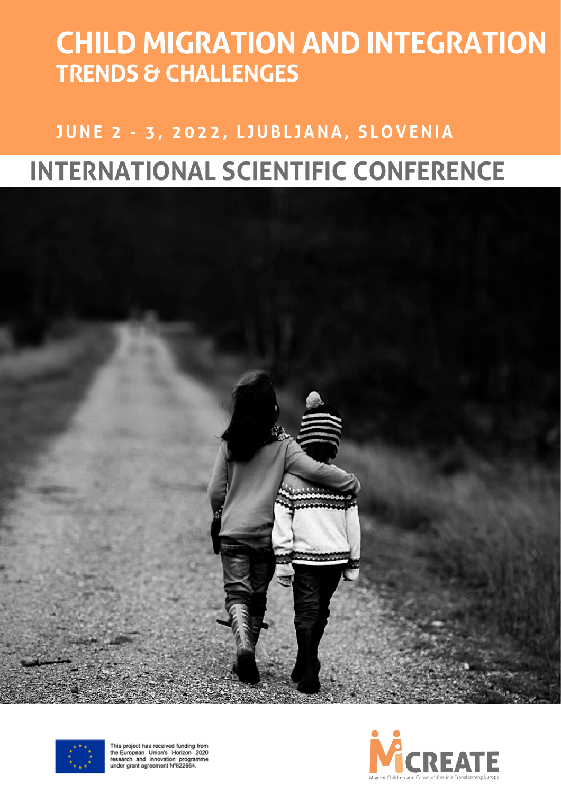# **CHILD MIGRATION AND INTEGRATION TRENDS & CHALLENGES**

### **JUNE 2 - 3, 2022, L JUBL JANA, S L O VENIA**

## **INTERNATIONAL SCIENTIFIC CONFERENCE**





This project has received funding from<br>the European Union's Horizon 2020<br>research and innovation programme<br>under grant agreement N°822664.

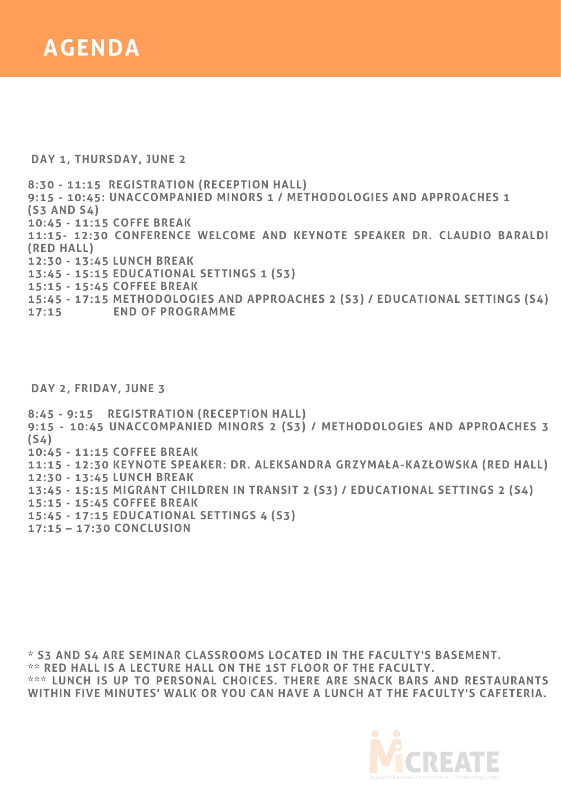

**DAY 1, THURSDAY, JUNE 2**

**8:30 - 11:15 REGISTRATION (RECEPTION HALL) 9:15 - 10:45: UNACCOMPANIED MINORS 1 / METHODOLOGIES AND APPROACHES 1 (S3 AND S4) 10:45 - 11:15 COFFE BREAK 11:15- 12:30 CONFERENCE WELCOME AND KEYNOTE SPEAKER DR. CLAUDIO BARALDI (RED HALL) 12:30 - 13:45 LUNCH BREAK 13:45 - 15:15 EDUCATIONAL SETTINGS 1 (S3) 15:15 - 15:45 COFFEE BREAK 15:45 - 17:15 METHODOLOGIES AND APPROACHES 2 (S3) / EDUCATIONAL SETTINGS (S4) 17:15 END OF PROGRAMME**

**DAY 2, FRIDAY, JUNE 3**

**8:45 - 9:15 REGISTRATION (RECEPTION HALL) 9:15 - 10:45 UNACCOMPANIED MINORS 2 (S3) / METHODOLOGIES AND APPROACHES 3 (S4) 10:45 - 11:15 COFFEE BREAK 11:15 - 12:30 KEYNOTE SPEAKER: DR. ALEKSANDRA GRZYMAŁA-KAZŁOWSKA (RED HALL) 12:30 - 13:45 LUNCH BREAK 13:45 - 15:15 MIGRANT CHILDREN IN TRANSIT 2 (S3) / EDUCATIONAL SETTINGS 2 (S4) 15:15 - 15:45 COFFEE BREAK 15:45 - 17:15 EDUCATIONAL SETTINGS 4 (S3)**

**17:15 – 17:30 CONCLUSION**

**\* S3 AND S4 ARE SEMINAR CLASSROOMS LOCATED IN THE FACULTY'S BASEMENT. \*\* RED HALL IS A LECTURE HALL ON THE 1ST FLOOR OF THE FACULTY. \*\*\* LUNCH IS UP TO PERSONAL CHOICES. THERE ARE SNACK BARS AND RESTAURANTS WITHIN FIVE MINUTES' WALK OR YOU CAN HAVE A LUNCH AT THE FACULTY'S CAFETERIA.**

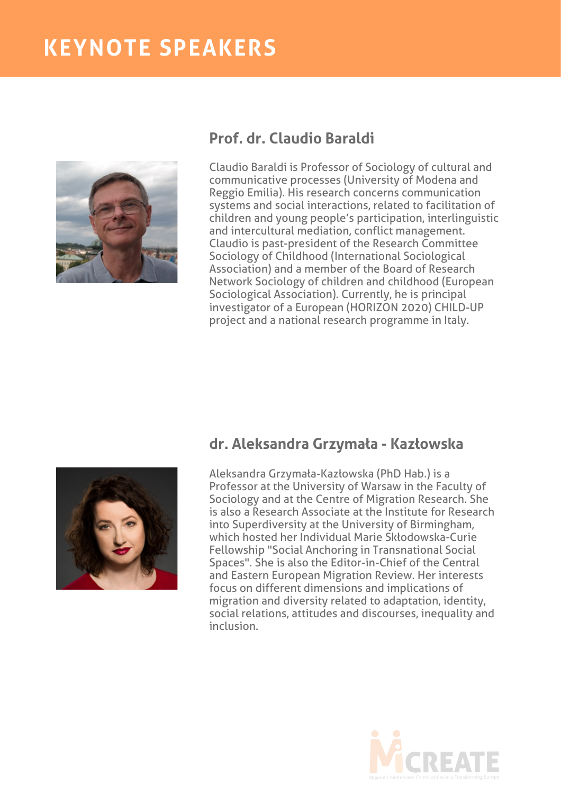### **KEYNOTE SPEAKERS**



#### **Prof. dr. Claudio Baraldi**

Claudio Baraldi is Professor of Sociology of cultural and communicative processes (University of Modena and Reggio Emilia). His research concerns communication systems and social interactions, related to facilitation of children and young people's participation, interlinguistic and intercultural mediation, conflict management. Claudio is past-president of the Research Committee Sociology of Childhood (International Sociological Association) and a member of the Board of Research Network Sociology of children and childhood (European Sociological Association). Currently, he is principal investigator of a European (HORIZON 2020) CHILD-UP project and a national research programme in Italy.



#### **dr. Aleksandra Grzymała - Kazłowska**

Aleksandra Grzymała-Kazłowska (PhD Hab.) is a Professor at the University of Warsaw in the Faculty of Sociology and at the Centre of Migration Research. She is also a Research Associate at the Institute for Research into Superdiversity at the University of Birmingham, which hosted her Individual Marie Skłodowska-Curie Fellowship "Social Anchoring in Transnational Social Spaces". She is also the Editor-in-Chief of the Central and Eastern European Migration Review. Her interests focus on different dimensions and implications of migration and diversity related to adaptation, identity, social relations, attitudes and discourses, inequality and inclusion.

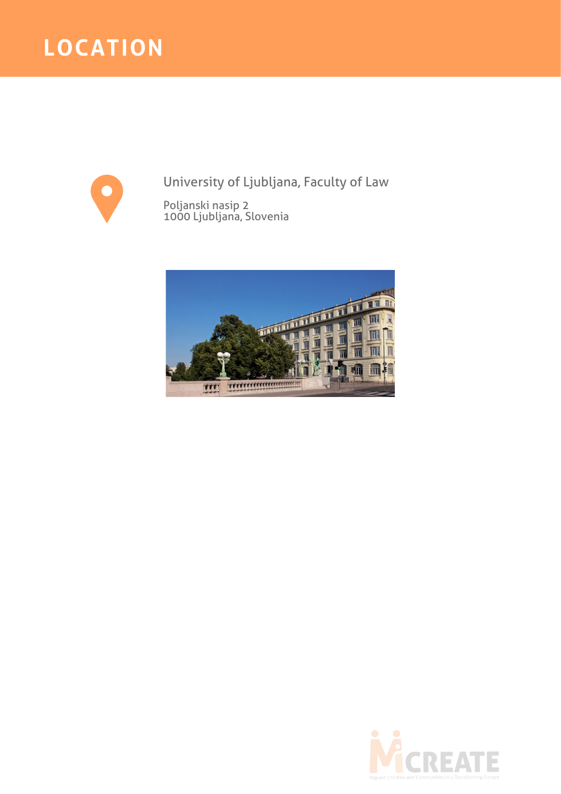### **LOCATION**



University of Ljubljana, Faculty of Law

Poljanski nasip 2 1000 Ljubljana, Slovenia